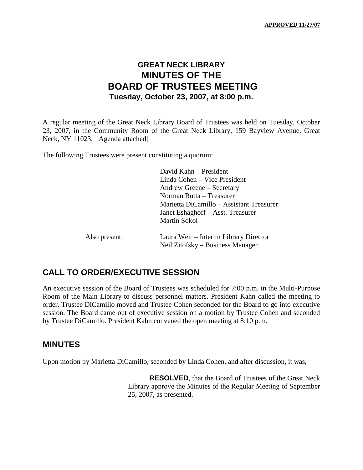**APPROVED 11/27/07**

# **GREAT NECK LIBRARY MINUTES OF THE BOARD OF TRUSTEES MEETING Tuesday, October 23, 2007, at 8:00 p.m.**

A regular meeting of the Great Neck Library Board of Trustees was held on Tuesday, October 23, 2007, in the Community Room of the Great Neck Library, 159 Bayview Avenue, Great Neck, NY 11023. [Agenda attached]

The following Trustees were present constituting a quorum:

|               | David Kahn – President                                                    |
|---------------|---------------------------------------------------------------------------|
|               | Linda Cohen – Vice President                                              |
|               | Andrew Greene – Secretary                                                 |
|               | Norman Rutta - Treasurer                                                  |
|               | Marietta DiCamillo – Assistant Treasurer                                  |
|               | Janet Eshaghoff – Asst. Treasurer                                         |
|               | Martin Sokol                                                              |
| Also present: | Laura Weir – Interim Library Director<br>Neil Zitofsky – Business Manager |
|               |                                                                           |

# **CALL TO ORDER/EXECUTIVE SESSION**

An executive session of the Board of Trustees was scheduled for 7:00 p.m. in the Multi-Purpose Room of the Main Library to discuss personnel matters. President Kahn called the meeting to order. Trustee DiCamillo moved and Trustee Cohen seconded for the Board to go into executive session. The Board came out of executive session on a motion by Trustee Cohen and seconded by Trustee DiCamillo. President Kahn convened the open meeting at 8:10 p.m.

## **MINUTES**

Upon motion by Marietta DiCamillo, seconded by Linda Cohen, and after discussion, it was,

**RESOLVED**, that the Board of Trustees of the Great Neck Library approve the Minutes of the Regular Meeting of September 25, 2007, as presented.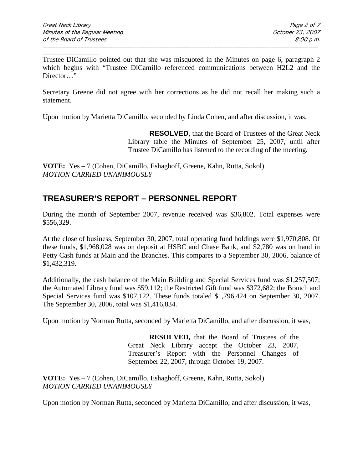\_\_\_\_\_\_\_\_\_\_\_\_\_\_\_\_\_

Trustee DiCamillo pointed out that she was misquoted in the Minutes on page 6, paragraph 2 which begins with "Trustee DiCamillo referenced communications between H2L2 and the Director..."

\_\_\_\_\_\_\_\_\_\_\_\_\_\_\_\_\_\_\_\_\_\_\_\_\_\_\_\_\_\_\_\_\_\_\_\_\_\_\_\_\_\_\_\_\_\_\_\_\_\_\_\_\_\_\_\_\_\_\_\_\_\_\_\_\_\_\_\_\_\_\_\_\_\_\_\_\_\_\_\_\_\_\_\_\_\_\_

Secretary Greene did not agree with her corrections as he did not recall her making such a statement.

Upon motion by Marietta DiCamillo, seconded by Linda Cohen, and after discussion, it was,

**RESOLVED**, that the Board of Trustees of the Great Neck Library table the Minutes of September 25, 2007, until after Trustee DiCamillo has listened to the recording of the meeting.

**VOTE:** Yes – 7 (Cohen, DiCamillo, Eshaghoff, Greene, Kahn, Rutta, Sokol) *MOTION CARRIED UNANIMOUSLY*

# **TREASURER'S REPORT – PERSONNEL REPORT**

During the month of September 2007, revenue received was \$36,802. Total expenses were \$556,329.

At the close of business, September 30, 2007, total operating fund holdings were \$1,970,808. Of these funds, \$1,968,028 was on deposit at HSBC and Chase Bank, and \$2,780 was on hand in Petty Cash funds at Main and the Branches. This compares to a September 30, 2006, balance of \$1,432,319.

Additionally, the cash balance of the Main Building and Special Services fund was \$1,257,507; the Automated Library fund was \$59,112; the Restricted Gift fund was \$372,682; the Branch and Special Services fund was \$107,122. These funds totaled \$1,796,424 on September 30, 2007. The September 30, 2006, total was \$1,416,834.

Upon motion by Norman Rutta, seconded by Marietta DiCamillo, and after discussion, it was,

**RESOLVED,** that the Board of Trustees of the Great Neck Library accept the October 23, 2007, Treasurer's Report with the Personnel Changes of September 22, 2007, through October 19, 2007.

**VOTE:** Yes – 7 (Cohen, DiCamillo, Eshaghoff, Greene, Kahn, Rutta, Sokol) *MOTION CARRIED UNANIMOUSLY*

Upon motion by Norman Rutta, seconded by Marietta DiCamillo, and after discussion, it was,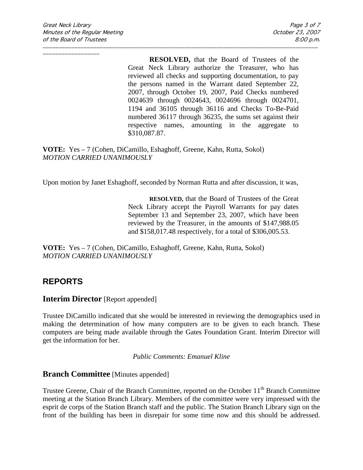\_\_\_\_\_\_\_\_\_\_\_\_\_\_\_\_\_

**RESOLVED,** that the Board of Trustees of the Great Neck Library authorize the Treasurer, who has reviewed all checks and supporting documentation, to pay the persons named in the Warrant dated September 22, 2007, through October 19, 2007, Paid Checks numbered 0024639 through 0024643, 0024696 through 0024701, 1194 and 36105 through 36116 and Checks To-Be-Paid numbered 36117 through 36235, the sums set against their respective names, amounting in the aggregate to \$310,087.87.

**VOTE:** Yes – 7 (Cohen, DiCamillo, Eshaghoff, Greene, Kahn, Rutta, Sokol) *MOTION CARRIED UNANIMOUSLY*

Upon motion by Janet Eshaghoff, seconded by Norman Rutta and after discussion, it was,

\_\_\_\_\_\_\_\_\_\_\_\_\_\_\_\_\_\_\_\_\_\_\_\_\_\_\_\_\_\_\_\_\_\_\_\_\_\_\_\_\_\_\_\_\_\_\_\_\_\_\_\_\_\_\_\_\_\_\_\_\_\_\_\_\_\_\_\_\_\_\_\_\_\_\_\_\_\_\_\_\_\_\_\_\_\_\_

**RESOLVED,** that the Board of Trustees of the Great Neck Library accept the Payroll Warrants for pay dates September 13 and September 23, 2007, which have been reviewed by the Treasurer, in the amounts of \$147,988.05 and \$158,017.48 respectively, for a total of \$306,005.53.

**VOTE:** Yes – 7 (Cohen, DiCamillo, Eshaghoff, Greene, Kahn, Rutta, Sokol) *MOTION CARRIED UNANIMOUSLY*

# **REPORTS**

#### **Interim Director** [Report appended]

Trustee DiCamillo indicated that she would be interested in reviewing the demographics used in making the determination of how many computers are to be given to each branch. These computers are being made available through the Gates Foundation Grant. Interim Director will get the information for her.

*Public Comments: Emanuel Kline*

#### **Branch Committee** [Minutes appended]

Trustee Greene, Chair of the Branch Committee, reported on the October 11<sup>th</sup> Branch Committee meeting at the Station Branch Library. Members of the committee were very impressed with the esprit de corps of the Station Branch staff and the public. The Station Branch Library sign on the front of the building has been in disrepair for some time now and this should be addressed.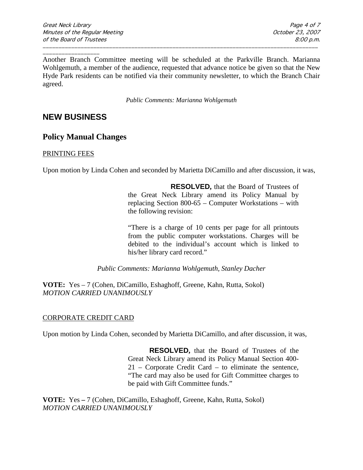\_\_\_\_\_\_\_\_\_\_\_\_\_\_\_\_\_ Another Branch Committee meeting will be scheduled at the Parkville Branch. Marianna Wohlgemuth, a member of the audience, requested that advance notice be given so that the New Hyde Park residents can be notified via their community newsletter, to which the Branch Chair agreed.

\_\_\_\_\_\_\_\_\_\_\_\_\_\_\_\_\_\_\_\_\_\_\_\_\_\_\_\_\_\_\_\_\_\_\_\_\_\_\_\_\_\_\_\_\_\_\_\_\_\_\_\_\_\_\_\_\_\_\_\_\_\_\_\_\_\_\_\_\_\_\_\_\_\_\_\_\_\_\_\_\_\_\_\_\_\_\_

*Public Comments: Marianna Wohlgemuth*

## **NEW BUSINESS**

## **Policy Manual Changes**

#### PRINTING FEES

Upon motion by Linda Cohen and seconded by Marietta DiCamillo and after discussion, it was,

**RESOLVED,** that the Board of Trustees of the Great Neck Library amend its Policy Manual by replacing Section 800-65 – Computer Workstations – with the following revision:

"There is a charge of 10 cents per page for all printouts from the public computer workstations. Charges will be debited to the individual's account which is linked to his/her library card record."

*Public Comments: Marianna Wohlgemuth, Stanley Dacher*

**VOTE:** Yes – 7 (Cohen, DiCamillo, Eshaghoff, Greene, Kahn, Rutta, Sokol) *MOTION CARRIED UNANIMOUSLY*

#### CORPORATE CREDIT CARD

Upon motion by Linda Cohen, seconded by Marietta DiCamillo, and after discussion, it was,

**RESOLVED,** that the Board of Trustees of the Great Neck Library amend its Policy Manual Section 400- 21 – Corporate Credit Card – to eliminate the sentence, "The card may also be used for Gift Committee charges to be paid with Gift Committee funds."

**VOTE:** Yes **–** 7 (Cohen, DiCamillo, Eshaghoff, Greene, Kahn, Rutta, Sokol) *MOTION CARRIED UNANIMOUSLY*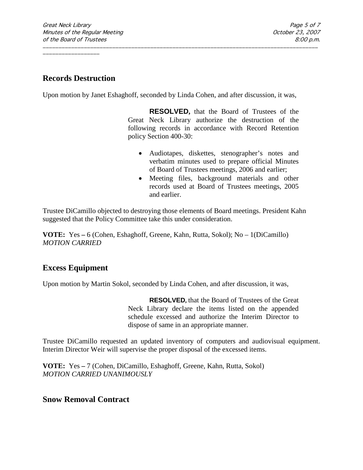\_\_\_\_\_\_\_\_\_\_\_\_\_\_\_\_\_

### **Records Destruction**

Upon motion by Janet Eshaghoff, seconded by Linda Cohen, and after discussion, it was,

\_\_\_\_\_\_\_\_\_\_\_\_\_\_\_\_\_\_\_\_\_\_\_\_\_\_\_\_\_\_\_\_\_\_\_\_\_\_\_\_\_\_\_\_\_\_\_\_\_\_\_\_\_\_\_\_\_\_\_\_\_\_\_\_\_\_\_\_\_\_\_\_\_\_\_\_\_\_\_\_\_\_\_\_\_\_\_

**RESOLVED,** that the Board of Trustees of the Great Neck Library authorize the destruction of the following records in accordance with Record Retention policy Section 400-30:

- Audiotapes, diskettes, stenographer's notes and verbatim minutes used to prepare official Minutes of Board of Trustees meetings, 2006 and earlier;
- Meeting files, background materials and other records used at Board of Trustees meetings, 2005 and earlier.

Trustee DiCamillo objected to destroying those elements of Board meetings. President Kahn suggested that the Policy Committee take this under consideration.

**VOTE:** Yes **–** 6 (Cohen, Eshaghoff, Greene, Kahn, Rutta, Sokol); No – 1(DiCamillo) *MOTION CARRIED*

## **Excess Equipment**

Upon motion by Martin Sokol, seconded by Linda Cohen, and after discussion, it was,

**RESOLVED,** that the Board of Trustees of the Great Neck Library declare the items listed on the appended schedule excessed and authorize the Interim Director to dispose of same in an appropriate manner.

Trustee DiCamillo requested an updated inventory of computers and audiovisual equipment. Interim Director Weir will supervise the proper disposal of the excessed items.

**VOTE:** Yes **–** 7 (Cohen, DiCamillo, Eshaghoff, Greene, Kahn, Rutta, Sokol) *MOTION CARRIED UNANIMOUSLY* 

### **Snow Removal Contract**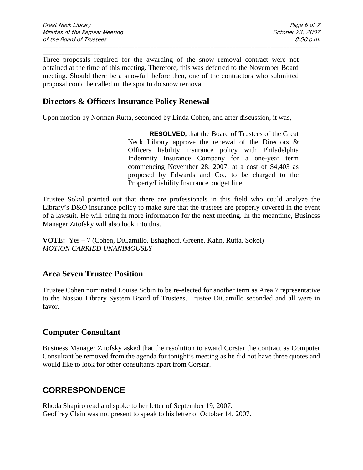\_\_\_\_\_\_\_\_\_\_\_\_\_\_\_\_\_ Three proposals required for the awarding of the snow removal contract were not obtained at the time of this meeting. Therefore, this was deferred to the November Board meeting. Should there be a snowfall before then, one of the contractors who submitted proposal could be called on the spot to do snow removal.

\_\_\_\_\_\_\_\_\_\_\_\_\_\_\_\_\_\_\_\_\_\_\_\_\_\_\_\_\_\_\_\_\_\_\_\_\_\_\_\_\_\_\_\_\_\_\_\_\_\_\_\_\_\_\_\_\_\_\_\_\_\_\_\_\_\_\_\_\_\_\_\_\_\_\_\_\_\_\_\_\_\_\_\_\_\_\_

## **Directors & Officers Insurance Policy Renewal**

Upon motion by Norman Rutta, seconded by Linda Cohen, and after discussion, it was,

**RESOLVED,** that the Board of Trustees of the Great Neck Library approve the renewal of the Directors & Officers liability insurance policy with Philadelphia Indemnity Insurance Company for a one-year term commencing November 28, 2007, at a cost of \$4,403 as proposed by Edwards and Co., to be charged to the Property/Liability Insurance budget line.

Trustee Sokol pointed out that there are professionals in this field who could analyze the Library's D&O insurance policy to make sure that the trustees are properly covered in the event of a lawsuit. He will bring in more information for the next meeting. In the meantime, Business Manager Zitofsky will also look into this.

**VOTE:** Yes **–** 7 (Cohen, DiCamillo, Eshaghoff, Greene, Kahn, Rutta, Sokol) *MOTION CARRIED UNANIMOUSLY*

### **Area Seven Trustee Position**

Trustee Cohen nominated Louise Sobin to be re-elected for another term as Area 7 representative to the Nassau Library System Board of Trustees. Trustee DiCamillo seconded and all were in favor.

## **Computer Consultant**

Business Manager Zitofsky asked that the resolution to award Corstar the contract as Computer Consultant be removed from the agenda for tonight's meeting as he did not have three quotes and would like to look for other consultants apart from Corstar.

## **CORRESPONDENCE**

Rhoda Shapiro read and spoke to her letter of September 19, 2007. Geoffrey Clain was not present to speak to his letter of October 14, 2007.